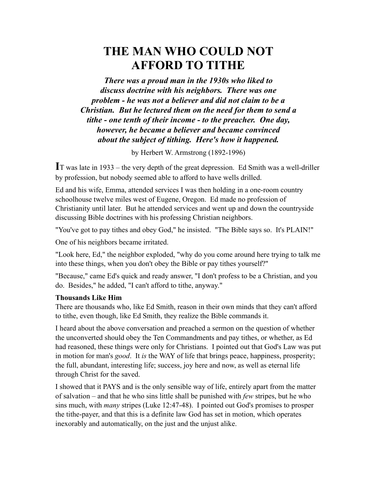# **THE MAN WHO COULD NOT AFFORD TO TITHE**

*There was a proud man in the 1930s who liked to discuss doctrine with his neighbors. There was one problem - he was not a believer and did not claim to be a Christian. But he lectured them on the need for them to send a tithe - one tenth of their income - to the preacher. One day, however, he became a believer and became convinced about the subject of tithing. Here's how it happened.*

by Herbert W. Armstrong (1892-1996)

**I**T was late in 1933 – the very depth of the great depression. Ed Smith was a well-driller by profession, but nobody seemed able to afford to have wells drilled.

Ed and his wife, Emma, attended services I was then holding in a one-room country schoolhouse twelve miles west of Eugene, Oregon. Ed made no profession of Christianity until later. But he attended services and went up and down the countryside discussing Bible doctrines with his professing Christian neighbors.

"You've got to pay tithes and obey God," he insisted. "The Bible says so. It's PLAIN!"

One of his neighbors became irritated.

"Look here, Ed," the neighbor exploded, "why do you come around here trying to talk me into these things, when you don't obey the Bible or pay tithes yourself?"

"Because," came Ed's quick and ready answer, "I don't profess to be a Christian, and you do. Besides," he added, "I can't afford to tithe, anyway."

#### **Thousands Like Him**

There are thousands who, like Ed Smith, reason in their own minds that they can't afford to tithe, even though, like Ed Smith, they realize the Bible commands it.

I heard about the above conversation and preached a sermon on the question of whether the unconverted should obey the Ten Commandments and pay tithes, or whether, as Ed had reasoned, these things were only for Christians. I pointed out that God's Law was put in motion for man's *good*. It *is* the WAY of life that brings peace, happiness, prosperity; the full, abundant, interesting life; success, joy here and now, as well as eternal life through Christ for the saved.

I showed that it PAYS and is the only sensible way of life, entirely apart from the matter of salvation – and that he who sins little shall be punished with *few* stripes, but he who sins much, with *many* stripes (Luke 12:47-48). I pointed out God's promises to prosper the tithe-payer, and that this is a definite law God has set in motion, which operates inexorably and automatically, on the just and the unjust alike.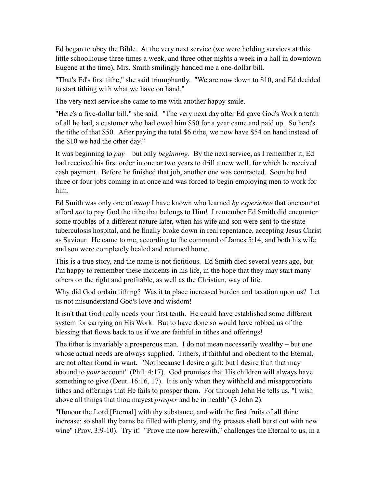Ed began to obey the Bible. At the very next service (we were holding services at this little schoolhouse three times a week, and three other nights a week in a hall in downtown Eugene at the time), Mrs. Smith smilingly handed me a one-dollar bill.

"That's Ed's first tithe," she said triumphantly. "We are now down to \$10, and Ed decided to start tithing with what we have on hand."

The very next service she came to me with another happy smile.

"Here's a five-dollar bill," she said. "The very next day after Ed gave God's Work a tenth of all he had, a customer who had owed him \$50 for a year came and paid up. So here's the tithe of that \$50. After paying the total \$6 tithe, we now have \$54 on hand instead of the \$10 we had the other day."

It was beginning to *pay* – but only *beginning*. By the next service, as I remember it, Ed had received his first order in one or two years to drill a new well, for which he received cash payment. Before he finished that job, another one was contracted. Soon he had three or four jobs coming in at once and was forced to begin employing men to work for him.

Ed Smith was only one of *many* I have known who learned *by experience* that one cannot afford *not* to pay God the tithe that belongs to Him! I remember Ed Smith did encounter some troubles of a different nature later, when his wife and son were sent to the state tuberculosis hospital, and he finally broke down in real repentance, accepting Jesus Christ as Saviour. He came to me, according to the command of James 5:14, and both his wife and son were completely healed and returned home.

This is a true story, and the name is not fictitious. Ed Smith died several years ago, but I'm happy to remember these incidents in his life, in the hope that they may start many others on the right and profitable, as well as the Christian, way of life.

Why did God ordain tithing? Was it to place increased burden and taxation upon us? Let us not misunderstand God's love and wisdom!

It isn't that God really needs your first tenth. He could have established some different system for carrying on His Work. But to have done so would have robbed us of the blessing that flows back to us if we are faithful in tithes and offerings!

The tither is invariably a prosperous man. I do not mean necessarily wealthy – but one whose actual needs are always supplied. Tithers, if faithful and obedient to the Eternal, are not often found in want. "Not because I desire a gift: but I desire fruit that may abound to *your* account" (Phil. 4:17). God promises that His children will always have something to give (Deut. 16:16, 17). It is only when they withhold and misappropriate tithes and offerings that He fails to prosper them. For through John He tells us, "I wish above all things that thou mayest *prosper* and be in health" (3 John 2).

"Honour the Lord [Eternal] with thy substance, and with the first fruits of all thine increase: so shall thy barns be filled with plenty, and thy presses shall burst out with new wine" (Prov. 3:9-10). Try it! "Prove me now herewith," challenges the Eternal to us, in a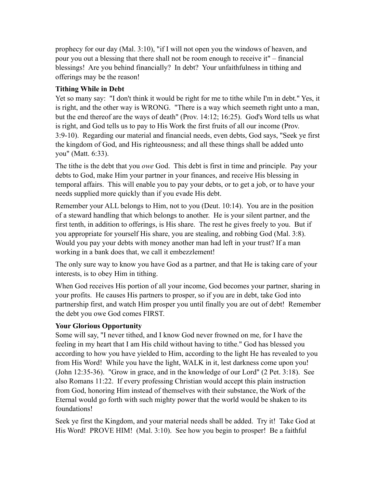prophecy for our day (Mal. 3:10), "if I will not open you the windows of heaven, and pour you out a blessing that there shall not be room enough to receive it" – financial blessings! Are you behind financially? In debt? Your unfaithfulness in tithing and offerings may be the reason!

## **Tithing While in Debt**

Yet so many say: "I don't think it would be right for me to tithe while I'm in debt." Yes, it is right, and the other way is WRONG. "There is a way which seemeth right unto a man, but the end thereof are the ways of death" (Prov. 14:12; 16:25). God's Word tells us what is right, and God tells us to pay to His Work the first fruits of all our income (Prov. 3:9-10). Regarding our material and financial needs, even debts, God says, "Seek ye first the kingdom of God, and His righteousness; and all these things shall be added unto you" (Matt. 6:33).

The tithe is the debt that you *owe* God. This debt is first in time and principle. Pay your debts to God, make Him your partner in your finances, and receive His blessing in temporal affairs. This will enable you to pay your debts, or to get a job, or to have your needs supplied more quickly than if you evade His debt.

Remember your ALL belongs to Him, not to you (Deut. 10:14). You are in the position of a steward handling that which belongs to another. He is your silent partner, and the first tenth, in addition to offerings, is His share. The rest he gives freely to you. But if you appropriate for yourself His share, you are stealing, and robbing God (Mal. 3:8). Would you pay your debts with money another man had left in your trust? If a man working in a bank does that, we call it embezzlement!

The only sure way to know you have God as a partner, and that He is taking care of your interests, is to obey Him in tithing.

When God receives His portion of all your income, God becomes your partner, sharing in your profits. He causes His partners to prosper, so if you are in debt, take God into partnership first, and watch Him prosper you until finally you are out of debt! Remember the debt you owe God comes FIRST.

## **Your Glorious Opportunity**

Some will say, "I never tithed, and I know God never frowned on me, for I have the feeling in my heart that I am His child without having to tithe." God has blessed you according to how you have yielded to Him, according to the light He has revealed to you from His Word! While you have the light, WALK in it, lest darkness come upon you! (John 12:35-36). "Grow in grace, and in the knowledge of our Lord" (2 Pet. 3:18). See also Romans 11:22. If every professing Christian would accept this plain instruction from God, honoring Him instead of themselves with their substance, the Work of the Eternal would go forth with such mighty power that the world would be shaken to its foundations!

Seek ye first the Kingdom, and your material needs shall be added. Try it! Take God at His Word! PROVE HIM! (Mal. 3:10). See how you begin to prosper! Be a faithful